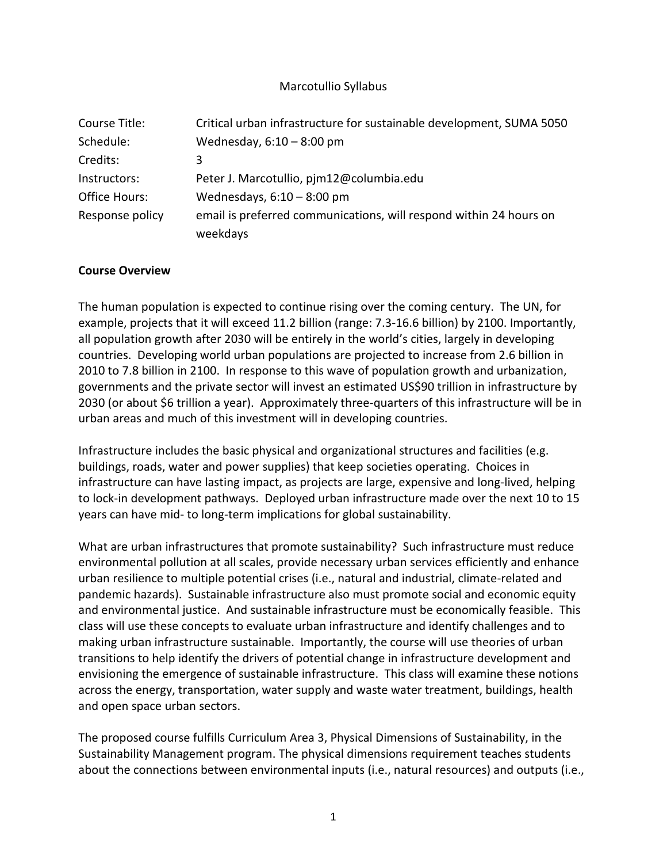## Marcotullio Syllabus

| Course Title:        | Critical urban infrastructure for sustainable development, SUMA 5050 |
|----------------------|----------------------------------------------------------------------|
| Schedule:            | Wednesday, $6:10-8:00$ pm                                            |
| Credits:             | 3                                                                    |
| Instructors:         | Peter J. Marcotullio, pjm12@columbia.edu                             |
| <b>Office Hours:</b> | Wednesdays, $6:10 - 8:00$ pm                                         |
| Response policy      | email is preferred communications, will respond within 24 hours on   |
|                      | weekdays                                                             |

### **Course Overview**

The human population is expected to continue rising over the coming century. The UN, for example, projects that it will exceed 11.2 billion (range: 7.3-16.6 billion) by 2100. Importantly, all population growth after 2030 will be entirely in the world's cities, largely in developing countries. Developing world urban populations are projected to increase from 2.6 billion in 2010 to 7.8 billion in 2100. In response to this wave of population growth and urbanization, governments and the private sector will invest an estimated US\$90 trillion in infrastructure by 2030 (or about \$6 trillion a year). Approximately three-quarters of this infrastructure will be in urban areas and much of this investment will in developing countries.

Infrastructure includes the basic physical and organizational structures and facilities (e.g. buildings, roads, water and power supplies) that keep societies operating. Choices in infrastructure can have lasting impact, as projects are large, expensive and long-lived, helping to lock-in development pathways. Deployed urban infrastructure made over the next 10 to 15 years can have mid- to long-term implications for global sustainability.

What are urban infrastructures that promote sustainability? Such infrastructure must reduce environmental pollution at all scales, provide necessary urban services efficiently and enhance urban resilience to multiple potential crises (i.e., natural and industrial, climate-related and pandemic hazards). Sustainable infrastructure also must promote social and economic equity and environmental justice. And sustainable infrastructure must be economically feasible. This class will use these concepts to evaluate urban infrastructure and identify challenges and to making urban infrastructure sustainable. Importantly, the course will use theories of urban transitions to help identify the drivers of potential change in infrastructure development and envisioning the emergence of sustainable infrastructure. This class will examine these notions across the energy, transportation, water supply and waste water treatment, buildings, health and open space urban sectors.

The proposed course fulfills Curriculum Area 3, Physical Dimensions of Sustainability, in the Sustainability Management program. The physical dimensions requirement teaches students about the connections between environmental inputs (i.e., natural resources) and outputs (i.e.,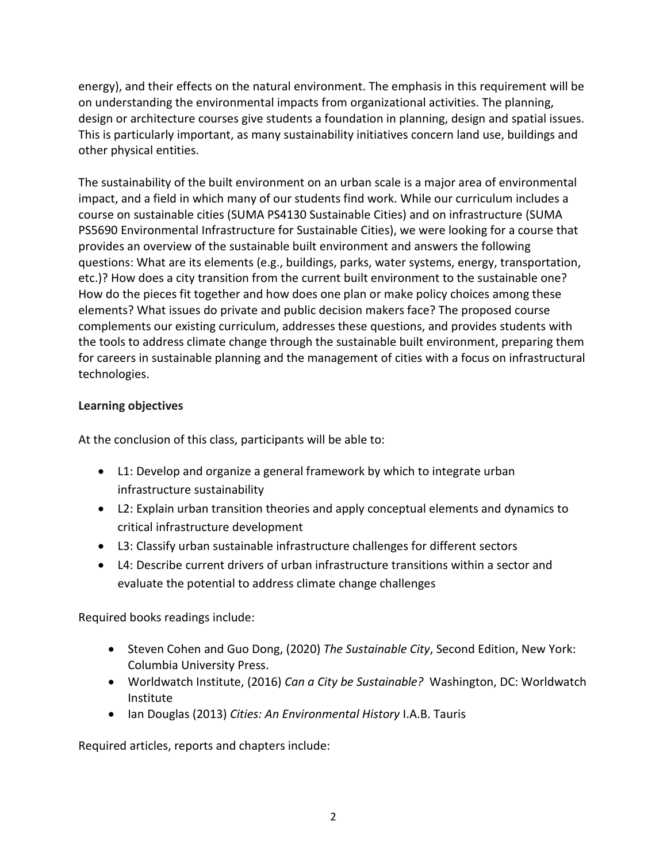energy), and their effects on the natural environment. The emphasis in this requirement will be on understanding the environmental impacts from organizational activities. The planning, design or architecture courses give students a foundation in planning, design and spatial issues. This is particularly important, as many sustainability initiatives concern land use, buildings and other physical entities.

The sustainability of the built environment on an urban scale is a major area of environmental impact, and a field in which many of our students find work. While our curriculum includes a course on sustainable cities (SUMA PS4130 Sustainable Cities) and on infrastructure (SUMA PS5690 Environmental Infrastructure for Sustainable Cities), we were looking for a course that provides an overview of the sustainable built environment and answers the following questions: What are its elements (e.g., buildings, parks, water systems, energy, transportation, etc.)? How does a city transition from the current built environment to the sustainable one? How do the pieces fit together and how does one plan or make policy choices among these elements? What issues do private and public decision makers face? The proposed course complements our existing curriculum, addresses these questions, and provides students with the tools to address climate change through the sustainable built environment, preparing them for careers in sustainable planning and the management of cities with a focus on infrastructural technologies.

# **Learning objectives**

At the conclusion of this class, participants will be able to:

- L1: Develop and organize a general framework by which to integrate urban infrastructure sustainability
- L2: Explain urban transition theories and apply conceptual elements and dynamics to critical infrastructure development
- L3: Classify urban sustainable infrastructure challenges for different sectors
- L4: Describe current drivers of urban infrastructure transitions within a sector and evaluate the potential to address climate change challenges

Required books readings include:

- Steven Cohen and Guo Dong, (2020) *The Sustainable City*, Second Edition, New York: Columbia University Press.
- Worldwatch Institute, (2016) *Can a City be Sustainable?* Washington, DC: Worldwatch Institute
- Ian Douglas (2013) *Cities: An Environmental History* I.A.B. Tauris

Required articles, reports and chapters include: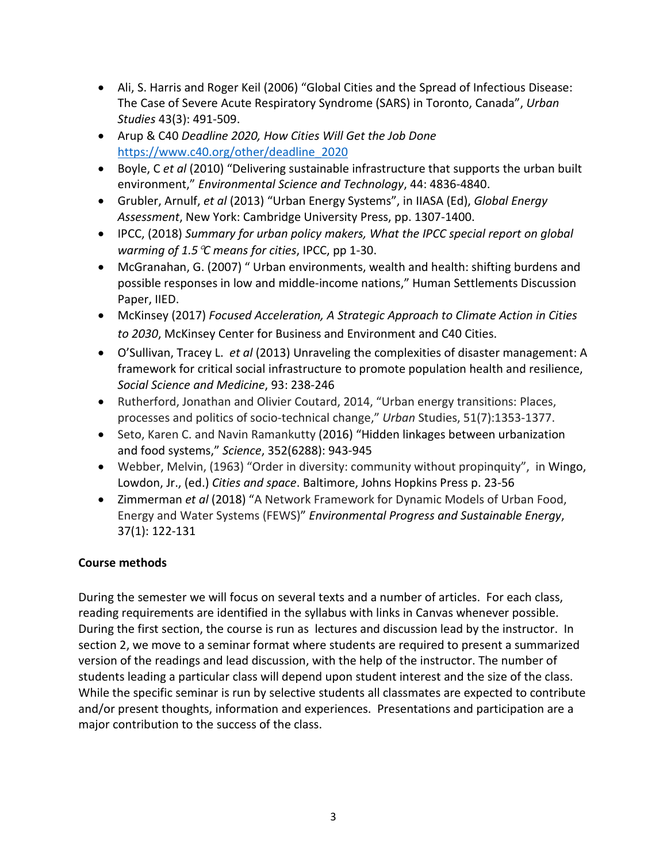- Ali, S. Harris and Roger Keil (2006) "Global Cities and the Spread of Infectious Disease: The Case of Severe Acute Respiratory Syndrome (SARS) in Toronto, Canada", *Urban Studies* 43(3): 491-509.
- Arup & C40 *Deadline 2020, How Cities Will Get the Job Done*  [https://www.c40.org/other/deadline\\_2020](https://www.c40.org/other/deadline_2020)
- Boyle, C *et al* (2010) "Delivering sustainable infrastructure that supports the urban built environment," *Environmental Science and Technology*, 44: 4836-4840.
- Grubler, Arnulf, *et al* (2013) "Urban Energy Systems", in IIASA (Ed), *Global Energy Assessment*, New York: Cambridge University Press, pp. 1307-1400.
- IPCC, (2018) *Summary for urban policy makers, What the IPCC special report on global warming of 1.5*°*C means for cities*, IPCC, pp 1-30.
- McGranahan, G. (2007) " Urban environments, wealth and health: shifting burdens and possible responses in low and middle-income nations," Human Settlements Discussion Paper, IIED.
- McKinsey (2017) *Focused Acceleration, A Strategic Approach to Climate Action in Cities to 2030*, McKinsey Center for Business and Environment and C40 Cities.
- O'Sullivan, Tracey L. *et al* (2013) Unraveling the complexities of disaster management: A framework for critical social infrastructure to promote population health and resilience, *Social Science and Medicine*, 93: 238-246
- Rutherford, Jonathan and Olivier Coutard, 2014, "Urban energy transitions: Places, processes and politics of socio-technical change," *Urban* Studies, 51(7):1353-1377.
- Seto, Karen C. and Navin Ramankutty (2016) "Hidden linkages between urbanization and food systems," *Science*, 352(6288): 943-945
- Webber, Melvin, (1963) "Order in diversity: community without propinquity", in Wingo, Lowdon, Jr., (ed.) *Cities and space*. Baltimore, Johns Hopkins Press p. 23-56
- Zimmerman *et al* (2018) "A Network Framework for Dynamic Models of Urban Food, Energy and Water Systems (FEWS)" *Environmental Progress and Sustainable Energy*, 37(1): 122-131

# **Course methods**

During the semester we will focus on several texts and a number of articles. For each class, reading requirements are identified in the syllabus with links in Canvas whenever possible. During the first section, the course is run as lectures and discussion lead by the instructor. In section 2, we move to a seminar format where students are required to present a summarized version of the readings and lead discussion, with the help of the instructor. The number of students leading a particular class will depend upon student interest and the size of the class. While the specific seminar is run by selective students all classmates are expected to contribute and/or present thoughts, information and experiences. Presentations and participation are a major contribution to the success of the class.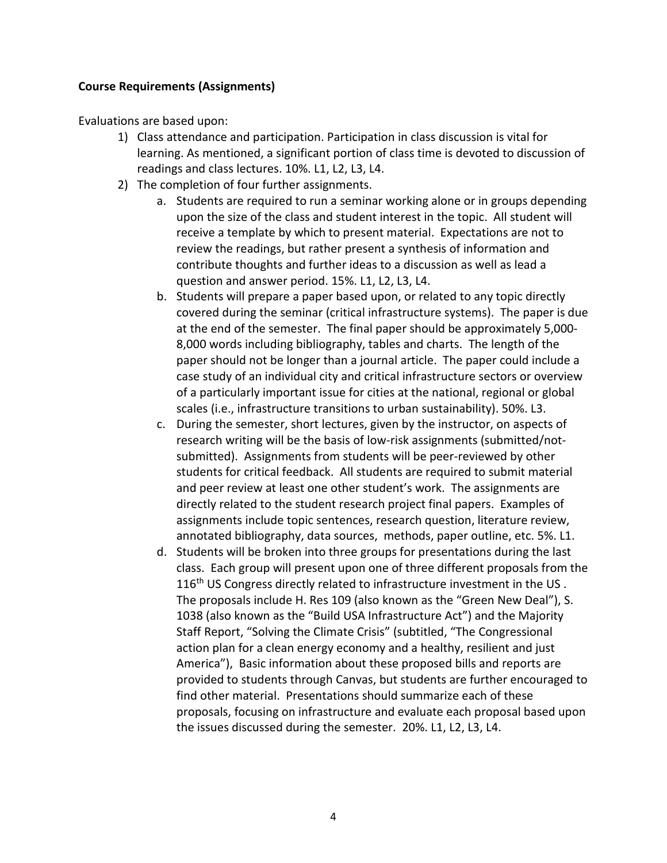# **Course Requirements (Assignments)**

Evaluations are based upon:

- 1) Class attendance and participation. Participation in class discussion is vital for learning. As mentioned, a significant portion of class time is devoted to discussion of readings and class lectures. 10%. L1, L2, L3, L4.
- 2) The completion of four further assignments.
	- a. Students are required to run a seminar working alone or in groups depending upon the size of the class and student interest in the topic. All student will receive a template by which to present material. Expectations are not to review the readings, but rather present a synthesis of information and contribute thoughts and further ideas to a discussion as well as lead a question and answer period. 15%. L1, L2, L3, L4.
	- b. Students will prepare a paper based upon, or related to any topic directly covered during the seminar (critical infrastructure systems). The paper is due at the end of the semester. The final paper should be approximately 5,000- 8,000 words including bibliography, tables and charts. The length of the paper should not be longer than a journal article. The paper could include a case study of an individual city and critical infrastructure sectors or overview of a particularly important issue for cities at the national, regional or global scales (i.e., infrastructure transitions to urban sustainability). 50%. L3.
	- c. During the semester, short lectures, given by the instructor, on aspects of research writing will be the basis of low-risk assignments (submitted/notsubmitted). Assignments from students will be peer-reviewed by other students for critical feedback. All students are required to submit material and peer review at least one other student's work. The assignments are directly related to the student research project final papers. Examples of assignments include topic sentences, research question, literature review, annotated bibliography, data sources, methods, paper outline, etc. 5%. L1.
	- d. Students will be broken into three groups for presentations during the last class. Each group will present upon one of three different proposals from the 116<sup>th</sup> US Congress directly related to infrastructure investment in the US. The proposals include H. Res 109 (also known as the "Green New Deal"), S. 1038 (also known as the "Build USA Infrastructure Act") and the Majority Staff Report, "Solving the Climate Crisis" (subtitled, "The Congressional action plan for a clean energy economy and a healthy, resilient and just America"), Basic information about these proposed bills and reports are provided to students through Canvas, but students are further encouraged to find other material. Presentations should summarize each of these proposals, focusing on infrastructure and evaluate each proposal based upon the issues discussed during the semester. 20%. L1, L2, L3, L4.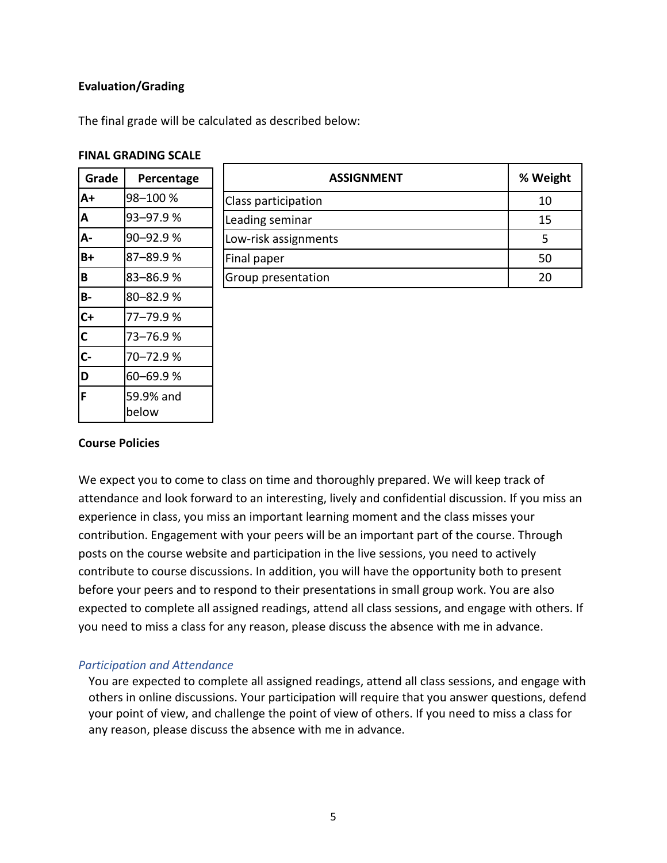# **Evaluation/Grading**

The final grade will be calculated as described below:

#### **FINAL GRADING SCALE**

| Grade        | Percentage |
|--------------|------------|
| lA+          | 98-100 %   |
| A            | 93-97.9%   |
| A-           | 90-92.9%   |
| B+           | 87-89.9%   |
| B            | 83-86.9%   |
| B-           | 80-82.9%   |
| $C+$         | 77–79.9 %  |
| $\mathsf{C}$ | 73–76.9 %  |
| $\mathsf{C}$ | 70-72.9%   |
| D            | 60-69.9%   |
| F            | 59.9% and  |
|              | below      |

| <b>ASSIGNMENT</b>    | % Weight |
|----------------------|----------|
| Class participation  | 10       |
| Leading seminar      | 15       |
| Low-risk assignments |          |
| Final paper          | 50       |
| Group presentation   |          |

# **Course Policies**

We expect you to come to class on time and thoroughly prepared. We will keep track of attendance and look forward to an interesting, lively and confidential discussion. If you miss an experience in class, you miss an important learning moment and the class misses your contribution. Engagement with your peers will be an important part of the course. Through posts on the course website and participation in the live sessions, you need to actively contribute to course discussions. In addition, you will have the opportunity both to present before your peers and to respond to their presentations in small group work. You are also expected to complete all assigned readings, attend all class sessions, and engage with others. If you need to miss a class for any reason, please discuss the absence with me in advance.

#### *Participation and Attendance*

You are expected to complete all assigned readings, attend all class sessions, and engage with others in online discussions. Your participation will require that you answer questions, defend your point of view, and challenge the point of view of others. If you need to miss a class for any reason, please discuss the absence with me in advance.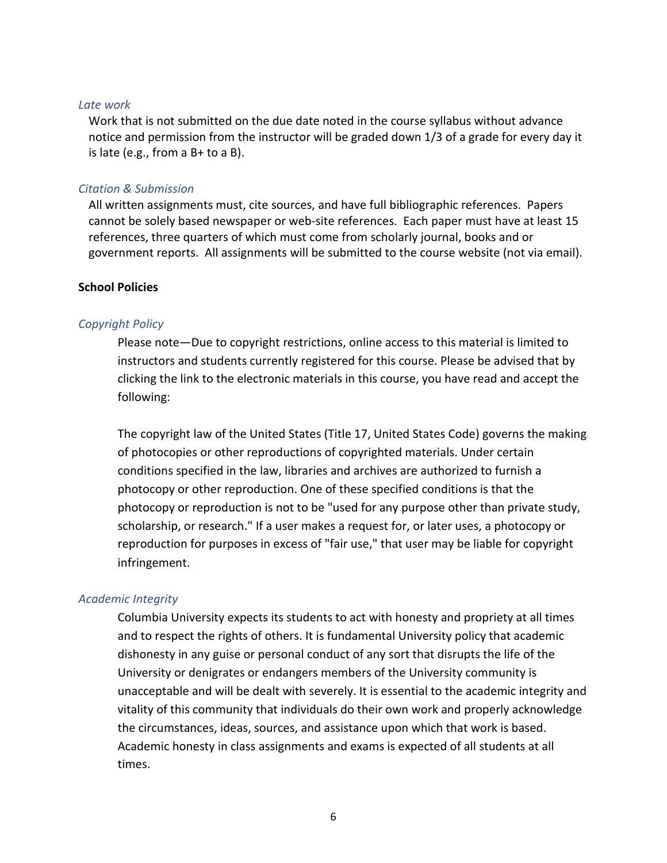#### *Late work*

Work that is not submitted on the due date noted in the course syllabus without advance notice and permission from the instructor will be graded down 1/3 of a grade for every day it is late (e.g., from a  $B+$  to a  $B$ ).

#### *Citation & Submission*

All written assignments must, cite sources, and have full bibliographic references. Papers cannot be solely based newspaper or web-site references. Each paper must have at least 15 references, three quarters of which must come from scholarly journal, books and or government reports. All assignments will be submitted to the course website (not via email).

#### **School Policies**

#### *Copyright Policy*

Please note—Due to copyright restrictions, online access to this material is limited to instructors and students currently registered for this course. Please be advised that by clicking the link to the electronic materials in this course, you have read and accept the following:

The copyright law of the United States (Title 17, United States Code) governs the making of photocopies or other reproductions of copyrighted materials. Under certain conditions specified in the law, libraries and archives are authorized to furnish a photocopy or other reproduction. One of these specified conditions is that the photocopy or reproduction is not to be "used for any purpose other than private study, scholarship, or research." If a user makes a request for, or later uses, a photocopy or reproduction for purposes in excess of "fair use," that user may be liable for copyright infringement.

### *Academic Integrity*

Columbia University expects its students to act with honesty and propriety at all times and to respect the rights of others. It is fundamental University policy that academic dishonesty in any guise or personal conduct of any sort that disrupts the life of the University or denigrates or endangers members of the University community is unacceptable and will be dealt with severely. It is essential to the academic integrity and vitality of this community that individuals do their own work and properly acknowledge the circumstances, ideas, sources, and assistance upon which that work is based. Academic honesty in class assignments and exams is expected of all students at all times.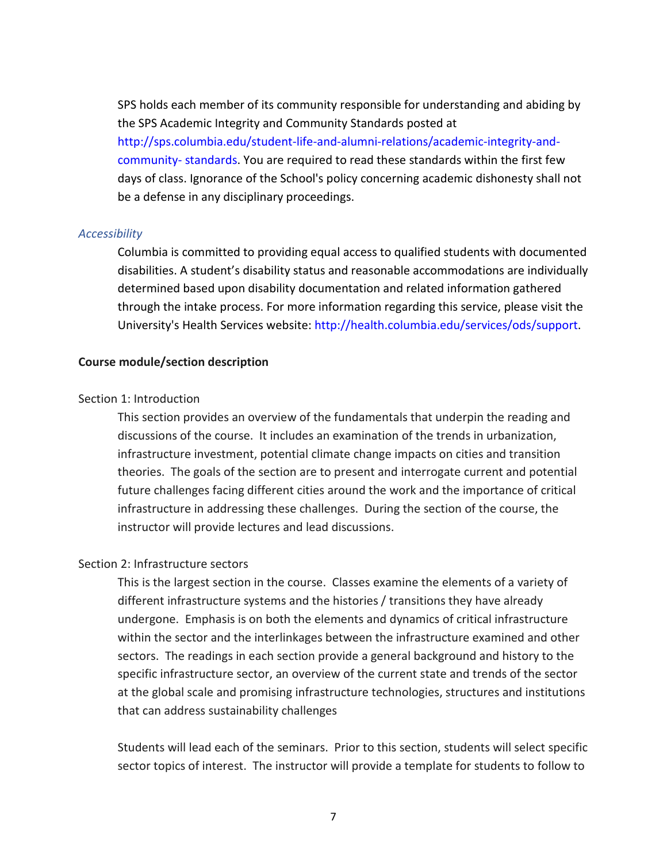SPS holds each member of its community responsible for understanding and abiding by the SPS Academic Integrity and Community Standards posted at http://sps.columbia.edu/student-life-and-alumni-relations/academic-integrity-andcommunity- standards. You are required to read these standards within the first few days of class. Ignorance of the School's policy concerning academic dishonesty shall not be a defense in any disciplinary proceedings.

#### *Accessibility*

Columbia is committed to providing equal access to qualified students with documented disabilities. A student's disability status and reasonable accommodations are individually determined based upon disability documentation and related information gathered through the intake process. For more information regarding this service, please visit the University's Health Services website: http://health.columbia.edu/services/ods/support.

#### **Course module/section description**

#### Section 1: Introduction

This section provides an overview of the fundamentals that underpin the reading and discussions of the course. It includes an examination of the trends in urbanization, infrastructure investment, potential climate change impacts on cities and transition theories. The goals of the section are to present and interrogate current and potential future challenges facing different cities around the work and the importance of critical infrastructure in addressing these challenges. During the section of the course, the instructor will provide lectures and lead discussions.

## Section 2: Infrastructure sectors

This is the largest section in the course. Classes examine the elements of a variety of different infrastructure systems and the histories / transitions they have already undergone. Emphasis is on both the elements and dynamics of critical infrastructure within the sector and the interlinkages between the infrastructure examined and other sectors. The readings in each section provide a general background and history to the specific infrastructure sector, an overview of the current state and trends of the sector at the global scale and promising infrastructure technologies, structures and institutions that can address sustainability challenges

Students will lead each of the seminars. Prior to this section, students will select specific sector topics of interest. The instructor will provide a template for students to follow to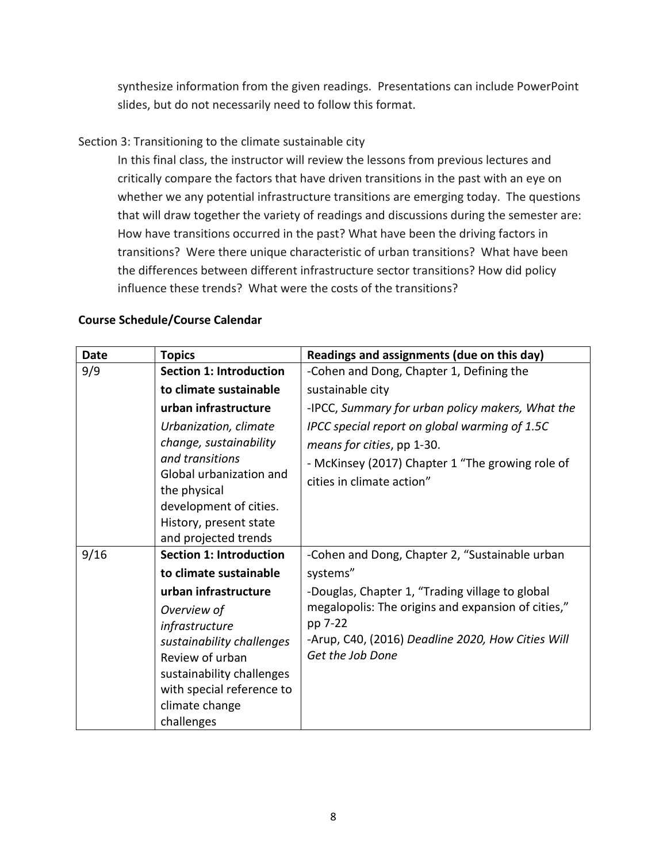synthesize information from the given readings. Presentations can include PowerPoint slides, but do not necessarily need to follow this format.

# Section 3: Transitioning to the climate sustainable city

In this final class, the instructor will review the lessons from previous lectures and critically compare the factors that have driven transitions in the past with an eye on whether we any potential infrastructure transitions are emerging today. The questions that will draw together the variety of readings and discussions during the semester are: How have transitions occurred in the past? What have been the driving factors in transitions? Were there unique characteristic of urban transitions? What have been the differences between different infrastructure sector transitions? How did policy influence these trends? What were the costs of the transitions?

# **Course Schedule/Course Calendar**

| <b>Date</b> | <b>Topics</b>                           | Readings and assignments (due on this day)         |
|-------------|-----------------------------------------|----------------------------------------------------|
| 9/9         | <b>Section 1: Introduction</b>          | -Cohen and Dong, Chapter 1, Defining the           |
|             | to climate sustainable                  | sustainable city                                   |
|             | urban infrastructure                    | -IPCC, Summary for urban policy makers, What the   |
|             | Urbanization, climate                   | IPCC special report on global warming of 1.5C      |
|             | change, sustainability                  | means for cities, pp 1-30.                         |
|             | and transitions                         | - McKinsey (2017) Chapter 1 "The growing role of   |
|             | Global urbanization and<br>the physical | cities in climate action"                          |
|             | development of cities.                  |                                                    |
|             | History, present state                  |                                                    |
|             | and projected trends                    |                                                    |
| 9/16        | <b>Section 1: Introduction</b>          | -Cohen and Dong, Chapter 2, "Sustainable urban     |
|             | to climate sustainable                  | systems"                                           |
|             | urban infrastructure                    | -Douglas, Chapter 1, "Trading village to global    |
|             | Overview of                             | megalopolis: The origins and expansion of cities," |
|             | infrastructure                          | pp 7-22                                            |
|             | sustainability challenges               | -Arup, C40, (2016) Deadline 2020, How Cities Will  |
|             | Review of urban                         | Get the Job Done                                   |
|             | sustainability challenges               |                                                    |
|             | with special reference to               |                                                    |
|             | climate change                          |                                                    |
|             | challenges                              |                                                    |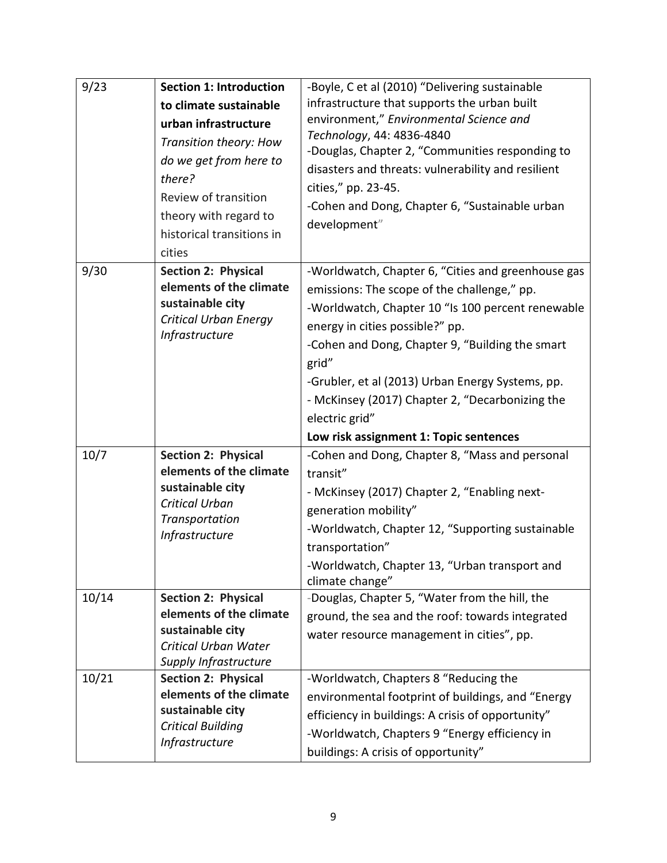| 9/23<br>9/30 | <b>Section 1: Introduction</b><br>to climate sustainable<br>urban infrastructure<br>Transition theory: How<br>do we get from here to<br>there?<br>Review of transition<br>theory with regard to<br>historical transitions in<br>cities<br>Section 2: Physical<br>elements of the climate<br>sustainable city | -Boyle, C et al (2010) "Delivering sustainable<br>infrastructure that supports the urban built<br>environment," Environmental Science and<br>Technology, 44: 4836-4840<br>-Douglas, Chapter 2, "Communities responding to<br>disasters and threats: vulnerability and resilient<br>cities," pp. 23-45.<br>-Cohen and Dong, Chapter 6, "Sustainable urban<br>development"<br>-Worldwatch, Chapter 6, "Cities and greenhouse gas<br>emissions: The scope of the challenge," pp.<br>-Worldwatch, Chapter 10 "Is 100 percent renewable |
|--------------|--------------------------------------------------------------------------------------------------------------------------------------------------------------------------------------------------------------------------------------------------------------------------------------------------------------|------------------------------------------------------------------------------------------------------------------------------------------------------------------------------------------------------------------------------------------------------------------------------------------------------------------------------------------------------------------------------------------------------------------------------------------------------------------------------------------------------------------------------------|
|              | <b>Critical Urban Energy</b><br><b>Infrastructure</b>                                                                                                                                                                                                                                                        | energy in cities possible?" pp.<br>-Cohen and Dong, Chapter 9, "Building the smart<br>grid"<br>-Grubler, et al (2013) Urban Energy Systems, pp.<br>- McKinsey (2017) Chapter 2, "Decarbonizing the<br>electric grid"<br>Low risk assignment 1: Topic sentences                                                                                                                                                                                                                                                                     |
| 10/7         | Section 2: Physical<br>elements of the climate<br>sustainable city<br>Critical Urban<br>Transportation<br>Infrastructure                                                                                                                                                                                     | -Cohen and Dong, Chapter 8, "Mass and personal<br>transit"<br>- McKinsey (2017) Chapter 2, "Enabling next-<br>generation mobility"<br>-Worldwatch, Chapter 12, "Supporting sustainable<br>transportation"<br>-Worldwatch, Chapter 13, "Urban transport and<br>climate change"                                                                                                                                                                                                                                                      |
| 10/14        | Section 2: Physical<br>elements of the climate<br>sustainable city<br>Critical Urban Water<br>Supply Infrastructure                                                                                                                                                                                          | -Douglas, Chapter 5, "Water from the hill, the<br>ground, the sea and the roof: towards integrated<br>water resource management in cities", pp.                                                                                                                                                                                                                                                                                                                                                                                    |
| 10/21        | <b>Section 2: Physical</b><br>elements of the climate<br>sustainable city<br><b>Critical Building</b><br>Infrastructure                                                                                                                                                                                      | -Worldwatch, Chapters 8 "Reducing the<br>environmental footprint of buildings, and "Energy<br>efficiency in buildings: A crisis of opportunity"<br>-Worldwatch, Chapters 9 "Energy efficiency in<br>buildings: A crisis of opportunity"                                                                                                                                                                                                                                                                                            |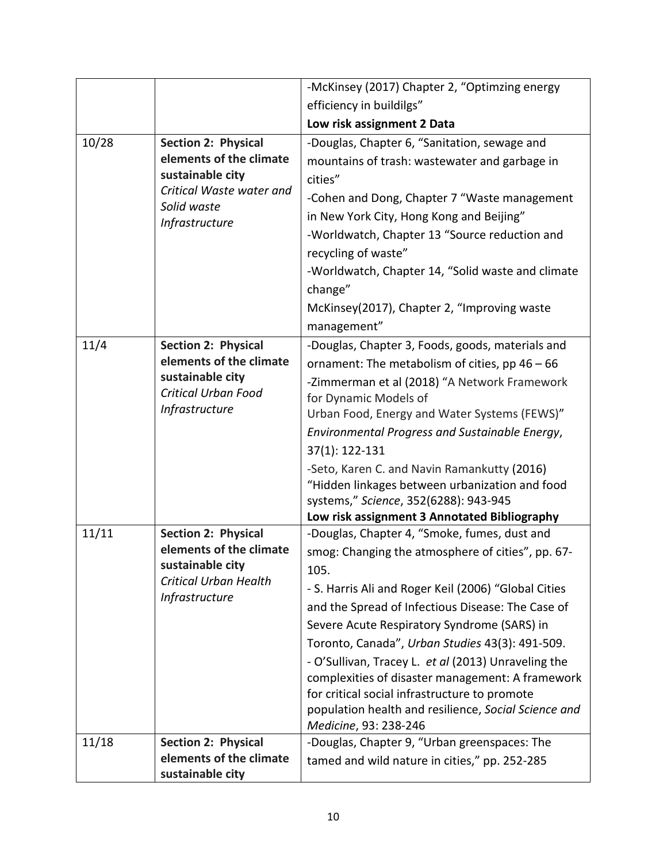|       |                                                           | -McKinsey (2017) Chapter 2, "Optimzing energy             |
|-------|-----------------------------------------------------------|-----------------------------------------------------------|
|       |                                                           | efficiency in buildilgs"                                  |
|       |                                                           | Low risk assignment 2 Data                                |
| 10/28 | <b>Section 2: Physical</b>                                | -Douglas, Chapter 6, "Sanitation, sewage and              |
|       | elements of the climate                                   | mountains of trash: wastewater and garbage in             |
|       | sustainable city                                          | cities"                                                   |
|       | Critical Waste water and<br>Solid waste<br>Infrastructure | -Cohen and Dong, Chapter 7 "Waste management              |
|       |                                                           | in New York City, Hong Kong and Beijing"                  |
|       |                                                           | -Worldwatch, Chapter 13 "Source reduction and             |
|       |                                                           | recycling of waste"                                       |
|       |                                                           | -Worldwatch, Chapter 14, "Solid waste and climate         |
|       |                                                           | change"                                                   |
|       |                                                           | McKinsey(2017), Chapter 2, "Improving waste               |
|       |                                                           | management"                                               |
| 11/4  | <b>Section 2: Physical</b>                                | -Douglas, Chapter 3, Foods, goods, materials and          |
|       | elements of the climate                                   | ornament: The metabolism of cities, $pp 46 - 66$          |
|       | sustainable city                                          | -Zimmerman et al (2018) "A Network Framework              |
|       | <b>Critical Urban Food</b><br>Infrastructure              | for Dynamic Models of                                     |
|       |                                                           | Urban Food, Energy and Water Systems (FEWS)"              |
|       |                                                           | Environmental Progress and Sustainable Energy,            |
|       |                                                           | 37(1): 122-131                                            |
|       |                                                           | -Seto, Karen C. and Navin Ramankutty (2016)               |
|       |                                                           | "Hidden linkages between urbanization and food            |
|       |                                                           | systems," Science, 352(6288): 943-945                     |
| 11/11 | <b>Section 2: Physical</b>                                | Low risk assignment 3 Annotated Bibliography              |
|       | elements of the climate                                   | -Douglas, Chapter 4, "Smoke, fumes, dust and              |
|       | sustainable city                                          | smog: Changing the atmosphere of cities", pp. 67-<br>105. |
|       | <b>Critical Urban Health</b><br>Infrastructure            | - S. Harris Ali and Roger Keil (2006) "Global Cities      |
|       |                                                           | and the Spread of Infectious Disease: The Case of         |
|       |                                                           | Severe Acute Respiratory Syndrome (SARS) in               |
|       |                                                           | Toronto, Canada", Urban Studies 43(3): 491-509.           |
|       |                                                           | - O'Sullivan, Tracey L. et al (2013) Unraveling the       |
|       |                                                           | complexities of disaster management: A framework          |
|       |                                                           | for critical social infrastructure to promote             |
|       |                                                           | population health and resilience, Social Science and      |
|       |                                                           | Medicine, 93: 238-246                                     |
| 11/18 | <b>Section 2: Physical</b>                                | -Douglas, Chapter 9, "Urban greenspaces: The              |
|       | elements of the climate                                   | tamed and wild nature in cities," pp. 252-285             |
|       | sustainable city                                          |                                                           |